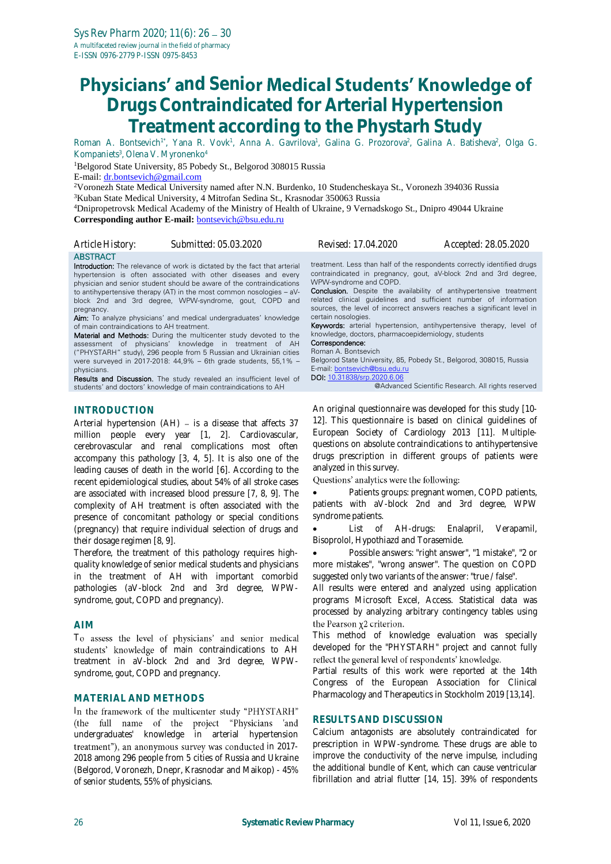# **Physicians' and Senior Medical Students' Knowledge of Drugs Contraindicated for Arterial Hypertension Treatment according to the Phystarh Study**

Roman A. Bontsevich<sup>1\*</sup>, Yana R. Vovk<sup>1</sup>, Anna A. Gavrilova<sup>1</sup>, Galina G. Prozorova<sup>2</sup>, Galina A. Batisheva<sup>2</sup>, Olga G. Kompaniets<sup>3</sup>, Olena V. Myronenko<sup>4</sup>

<sup>1</sup>Belgorod State University, 85 Pobedy St., Belgorod 308015 Russia

E-mail: [dr.bontsevich@gmail.com](mailto:dr.bontsevich@gmail.com)

<sup>2</sup>Voronezh State Medical University named after N.N. Burdenko, 10 Studencheskaya St., Voronezh 394036 Russia <sup>3</sup>Kuban State Medical University, 4 Mitrofan Sedina St., Krasnodar 350063 Russia

<sup>4</sup>Dnipropetrovsk Medical Academy of the Ministry of Health of Ukraine, 9 Vernadskogo St., Dnipro 49044 Ukraine **Corresponding author E-mail:** [bontsevich@bsu.edu.ru](mailto:bontsevich@bsu.edu.ru)

| Article History: | Submitted: 05.03.2020 | <i>Revised: 17.04.2020</i> | Accepted: 28.05.2020 |
|------------------|-----------------------|----------------------------|----------------------|
| ABSTRACT         |                       |                            |                      |

**Introduction:** The relevance of work is dictated by the fact that arterial hypertension is often associated with other diseases and every physician and senior student should be aware of the contraindications to antihypertensive therapy (AT) in the most common nosologies – aVblock 2nd and 3rd degree, WPW-syndrome, gout, COPD and pregnancy.

Aim: To analyze physicians' and medical undergraduates' knowledge of main contraindications to AH treatment.

Material and Methods: During the multicenter study devoted to the assessment of physicians' knowledge in treatment of AH ("PHYSTARH" study), 296 people from 5 Russian and Ukrainian cities were surveyed in 2017-2018: 44,9% – 6th grade students, 55,1% – physicians.

Results and Discussion. The study revealed an insufficient level of students' and doctors' knowledge of main contraindications to AH

# **INTRODUCTION**

Arterial hypertension  $(AH)$  – is a disease that affects 37 million people every year [1, 2]. Cardiovascular, cerebrovascular and renal complications most often accompany this pathology [3, 4, 5]. It is also one of the leading causes of death in the world [6]. According to the recent epidemiological studies, about 54% of all stroke cases are associated with increased blood pressure [7, 8, 9]. The complexity of AH treatment is often associated with the presence of concomitant pathology or special conditions (pregnancy) that require individual selection of drugs and their dosage regimen [8, 9].

Therefore, the treatment of this pathology requires highquality knowledge of senior medical students and physicians in the treatment of AH with important comorbid pathologies (aV-block 2nd and 3rd degree, WPWsyndrome, gout, COPD and pregnancy).

### **AIM**

To assess the level of physicians' and senior medical students' knowledge of main contraindications to AH treatment in aV-block 2nd and 3rd degree, WPWsyndrome, gout, COPD and pregnancy.

### **MATERIAL AND METHODS**

In the framework of the multicenter study "PHYSTARH" (the full name of the project "Physicians 'and undergraduates' knowledge in arterial hypertension treatment"), an anonymous survey was conducted in 2017-2018 among 296 people from 5 cities of Russia and Ukraine (Belgorod, Voronezh, Dnepr, Krasnodar and Maikop) - 45% of senior students, 55% of physicians.

treatment. Less than half of the respondents correctly identified drugs contraindicated in pregnancy, gout, aV-block 2nd and 3rd degree, WPW-syndrome and COPD.

Conclusion. Despite the availability of antihypertensive treatment related clinical guidelines and sufficient number of information sources, the level of incorrect answers reaches a significant level in certain nosologies.

Keywords: arterial hypertension, antihypertensive therapy, level of knowledge, doctors, pharmacoepidemiology, students

#### Correspondence: Roman A. Bontsevich

Belgorod State University, 85, Pobedy St., Belgorod, 308015, Russia E-mail: [bontsevich@bsu.edu.ru](mailto:bontsevich@bsu.edu.ru)

DOI: [10.31838/srp.2020.6.06](http://dx.doi.org/10.5530/srp.2019.2.04)

@Advanced Scientific Research. All rights reserved

An original questionnaire was developed for this study [10- 12]. This questionnaire is based on clinical guidelines of European Society of Cardiology 2013 [11]. Multiplequestions on absolute contraindications to antihypertensive drugs prescription in different groups of patients were analyzed in this survey.

Questions' analytics were the following:

 Patients groups: pregnant women, COPD patients, patients with aV-block 2nd and 3rd degree, WPW syndrome patients.

 List of AH-drugs: Enalapril, Verapamil, Bisoprolol, Hypothiazd and Torasemide.

 Possible answers: "right answer", "1 mistake", "2 or more mistakes", "wrong answer". The question on COPD suggested only two variants of the answer: "true / false".

All results were entered and analyzed using application programs Microsoft Excel, Access. Statistical data was processed by analyzing arbitrary contingency tables using the Pearson x2 criterion.

This method of knowledge evaluation was specially developed for the "PHYSTARH" project and cannot fully reflect the general level of respondents' knowledge.

Partial results of this work were reported at the 14th Congress of the European Association for Clinical Pharmacology and Therapeutics in Stockholm 2019 [13,14].

### **RESULTS AND DISCUSSION**

Calcium antagonists are absolutely contraindicated for prescription in WPW-syndrome. These drugs are able to improve the conductivity of the nerve impulse, including the additional bundle of Kent, which can cause ventricular fibrillation and atrial flutter [14, 15]. 39% of respondents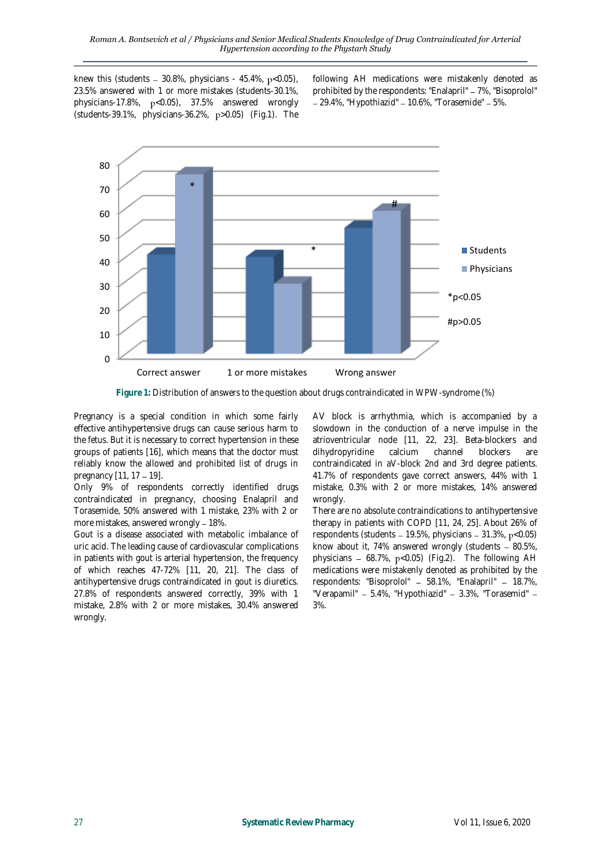knew this (students  $-30.8\%$ , physicians - 45.4%, p<0.05), 23.5% answered with 1 or more mistakes (students-30.1%, physicians-17.8%,  $p < 0.05$ ), 37.5% answered wrongly (students-39.1%, physicians-36.2%, p>0.05) (Fig.1). The

following AH medications were mistakenly denoted as prohibited by the respondents: "Enalapril" – 7%, "Bisoprolol"  $-29.4\%$ , "Hypothiazid" - 10.6%, "Torasemide" - 5%.



**Figure 1:** Distribution of answers to the question about drugs contraindicated in WPW-syndrome (%)

Pregnancy is a special condition in which some fairly effective antihypertensive drugs can cause serious harm to the fetus. But it is necessary to correct hypertension in these groups of patients [16], which means that the doctor must reliably know the allowed and prohibited list of drugs in pregnancy  $[11, 17 - 19]$ .

Only 9% of respondents correctly identified drugs contraindicated in pregnancy, choosing Enalapril and Torasemide, 50% answered with 1 mistake, 23% with 2 or more mistakes, answered wrongly - 18%.

Gout is a disease associated with metabolic imbalance of uric acid. The leading cause of cardiovascular complications in patients with gout is arterial hypertension, the frequency of which reaches 47-72% [11, 20, 21]. The class of antihypertensive drugs contraindicated in gout is diuretics. 27.8% of respondents answered correctly, 39% with 1 mistake, 2.8% with 2 or more mistakes, 30.4% answered wrongly.

AV block is arrhythmia, which is accompanied by a slowdown in the conduction of a nerve impulse in the atrioventricular node [11, 22, 23]. Beta-blockers and dihydropyridine calcium channel blockers are contraindicated in aV-block 2nd and 3rd degree patients. 41.7% of respondents gave correct answers, 44% with 1 mistake, 0.3% with 2 or more mistakes, 14% answered wrongly.

There are no absolute contraindications to antihypertensive therapy in patients with COPD [11, 24, 25]. About 26% of respondents (students  $-19.5\%$ , physicians  $-31.3\%$ , p<0.05) know about it, 74% answered wrongly (students  $-80.5\%$ , physicians  $-68.7\%$ ,  $p<0.05$ ) (Fig.2). The following AH medications were mistakenly denoted as prohibited by the respondents: "Bisoprolol" - 58.1%, "Enalapril" - 18.7%, "Verapamil" - 5.4%, "Hypothiazid" - 3.3%, "Torasemid" -3%.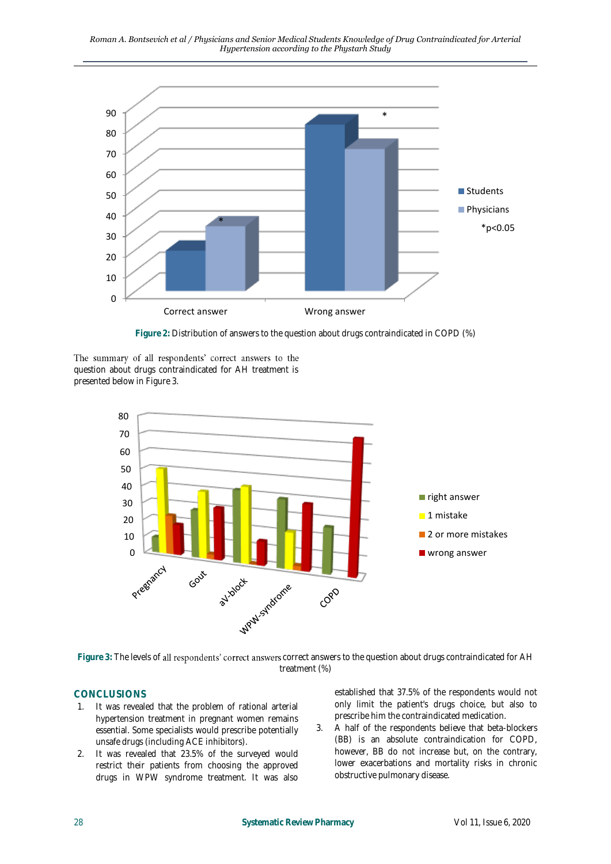

**Figure 2:** Distribution of answers to the question about drugs contraindicated in COPD (%)

The summary of all respondents' correct answers to the question about drugs contraindicated for AH treatment is presented below in Figure 3.



Figure 3: The levels of all respondents' correct answers correct answers to the question about drugs contraindicated for AH treatment (%)

# **CONCLUSIONS**

- 1. It was revealed that the problem of rational arterial hypertension treatment in pregnant women remains essential. Some specialists would prescribe potentially unsafe drugs (including ACE inhibitors).
- 2. It was revealed that 23.5% of the surveyed would restrict their patients from choosing the approved drugs in WPW syndrome treatment. It was also

established that 37.5% of the respondents would not only limit the patient's drugs choice, but also to prescribe him the contraindicated medication.

3. A half of the respondents believe that beta-blockers (BB) is an absolute contraindication for COPD, however, BB do not increase but, on the contrary, lower exacerbations and mortality risks in chronic obstructive pulmonary disease.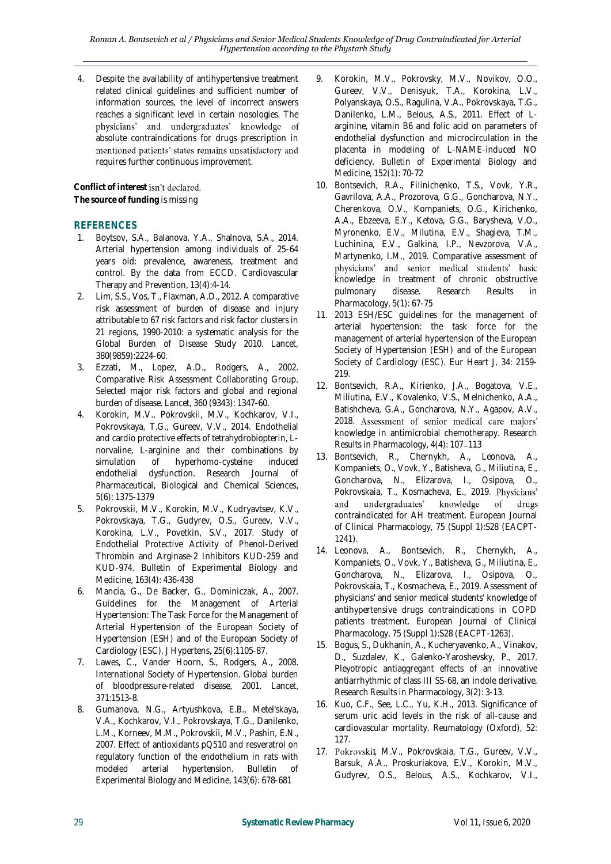4. Despite the availability of antihypertensive treatment related clinical guidelines and sufficient number of information sources, the level of incorrect answers reaches a significant level in certain nosologies. The physicians' and undergraduates' knowledge of absolute contraindications for drugs prescription in mentioned patients' states remains unsatisfactory and requires further continuous improvement.

Conflict of interest isn't declared. **The source of funding** is missing

# **REFERENCES**

- 1. Boytsov, S.A., Balanova, Y.A., Shalnova, S.A., 2014. Arterial hypertension among individuals of 25-64 years old: prevalence, awareness, treatment and control. By the data from ECCD. Cardiovascular Therapy and Prevention, 13(4):4-14.
- 2. Lim, S.S., Vos, T., Flaxman, A.D., 2012. A comparative risk assessment of burden of disease and injury attributable to 67 risk factors and risk factor clusters in 21 regions, 1990-2010: a systematic analysis for the Global Burden of Disease Study 2010. Lancet, 380(9859):2224-60.
- 3. Ezzati, M., Lopez, A.D., Rodgers, A., 2002. Comparative Risk Assessment Collaborating Group. Selected major risk factors and global and regional burden of disease. Lancet, 360 (9343): 1347-60.
- 4. Korokin, M.V., Pokrovskii, M.V., Kochkarov, V.I., Pokrovskaya, T.G., Gureev, V.V., 2014. Endothelial and cardio protective effects of tetrahydrobiopterin, Lnorvaline, L-arginine and their combinations by simulation of hyperhomo-cysteine induced endothelial dysfunction. Research Journal of Pharmaceutical, Biological and Chemical Sciences, 5(6): 1375-1379
- 5. Pokrovskii, M.V., Korokin, M.V., Kudryavtsev, K.V., Pokrovskaya, T.G., Gudyrev, O.S., Gureev, V.V., Korokina, L.V., Povetkin, S.V., 2017. Study of Endothelial Protective Activity of Phenol-Derived Thrombin and Arginase-2 Inhibitors KUD-259 and KUD-974. Bulletin of Experimental Biology and Medicine, 163(4): 436-438
- 6. Mancia, G., De Backer, G., Dominiczak, A., 2007. Guidelines for the Management of Arterial Hypertension: The Task Force for the Management of Arterial Hypertension of the European Society of Hypertension (ESH) and of the European Society of Cardiology (ESC). J Hypertens, 25(6):1105-87.
- 7. Lawes, C., Vander Hoorn, S., Rodgers, A., 2008. International Society of Hypertension. Global burden of bloodpressure-related disease, 2001. Lancet, 371:1513-8.
- 8. Gumanova, N.G., Artyushkova, E.B., Metel'skaya, V.A., Kochkarov, V.I., Pokrovskaya, T.G., Danilenko, L.M., Korneev, M.M., Pokrovskii, M.V., Pashin, E.N., 2007. Effect of antioxidants pQ510 and resveratrol on regulatory function of the endothelium in rats with modeled arterial hypertension. Bulletin of Experimental Biology and Medicine, 143(6): 678-681
- 9. Korokin, M.V., Pokrovsky, M.V., Novikov, O.O., Gureev, V.V., Denisyuk, T.A., Korokina, L.V., Polyanskaya, O.S., Ragulina, V.A., Pokrovskaya, T.G., Danilenko, L.M., Belous, A.S., 2011. Effect of Larginine, vitamin B6 and folic acid on parameters of endothelial dysfunction and microcirculation in the placenta in modeling of L-NAME-induced NO deficiency. Bulletin of Experimental Biology and Medicine, 152(1): 70-72
- 10. Bontsevich, R.A., Filinichenko, T.S., Vovk, Y.R., Gavrilova, A.A., Prozorova, G.G., Goncharova, N.Y., Cherenkova, O.V., Kompaniets, O.G., Kirichenko, A.A., Ebzeeva, E.Y., Ketova, G.G., Barysheva, V.O., Myronenko, E.V., Milutina, E.V., Shagieva, T.M., Luchinina, E.V., Galkina, I.P., Nevzorova, V.A., Martynenko, I.M., 2019. Comparative assessment of physicians' and senior medical students' basic knowledge in treatment of chronic obstructive pulmonary disease. Research Results in Pharmacology, 5(1): 67-75
- 11. 2013 ESH/ESC guidelines for the management of arterial hypertension: the task force for the management of arterial hypertension of the European Society of Hypertension (ESH) and of the European Society of Cardiology (ESC). Eur Heart J, 34: 2159- 219.
- 12. Bontsevich, R.A., Kirienko, J.A., Bogatova, V.E., Miliutina, E.V., Kovalenko, V.S., Melnichenko, A.A., Batishcheva, G.A., Goncharova, N.Y., Agapov, A.V., 2018. Assessment of senior medical care majors' knowledge in antimicrobial chemotherapy. Research Results in Pharmacology, 4(4): 107-113
- 13. Bontsevich, R., Chernykh, A., Leonova, A., Kompaniets, O., Vovk, Y., Batisheva, G., Miliutina, E., Goncharova, N., Elizarova, I., Osipova, O., Pokrovskaia, T., Kosmacheva, E., 2019. Physicians' and undergraduates' knowledge of drugs contraindicated for AH treatment. European Journal of Clinical Pharmacology, 75 (Suppl 1):S28 (EACPT-1241).
- 14. Leonova, A., Bontsevich, R., Chernykh, A., Kompaniets, O., Vovk, Y., Batisheva, G., Miliutina, E., Goncharova, N., Elizarova, I., Osipova, O., Pokrovskaia, T., Kosmacheva, E., 2019. Assessment of physicians' and senior medical students' knowledge of antihypertensive drugs contraindications in COPD patients treatment. European Journal of Clinical Pharmacology, 75 (Suppl 1):S28 (EACPT-1263).
- 15. Bogus, S., Dukhanin, A., Kucheryavenko, A., Vinakov, D., Suzdalev, K., Galenko-Yaroshevsky, P., 2017. Pleyotropic antiaggregant effects of an innovative antiarrhythmic of class III SS-68, an indole derivative. Research Results in Pharmacology, 3(2): 3-13.
- 16. Kuo, C.F., See, L.C., Yu, K.H., 2013. Significance of serum uric acid levels in the risk of all-cause and cardiovascular mortality. Reumatology (Oxford), 52: 127.
- 17. Pokrovskii, M.V., Pokrovskaia, T.G., Gureev, V.V., Barsuk, A.A., Proskuriakova, E.V., Korokin, M.V., Gudyrev, O.S., Belous, A.S., Kochkarov, V.I.,